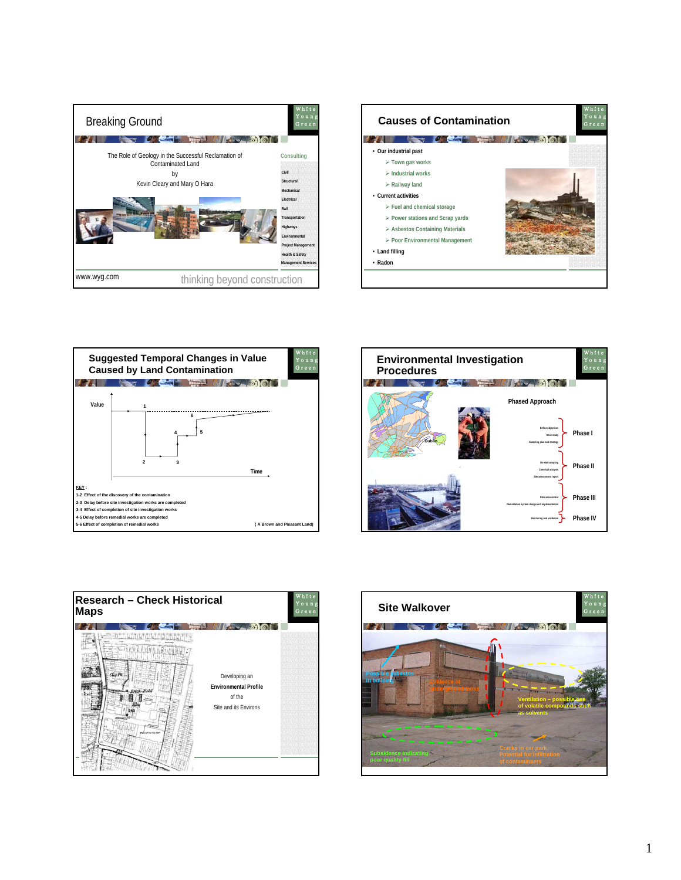









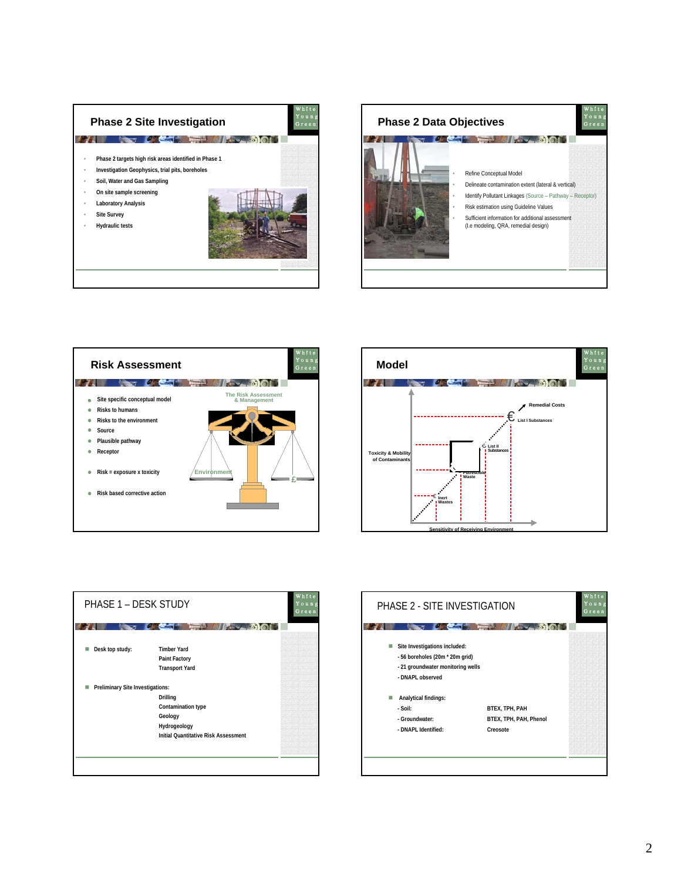









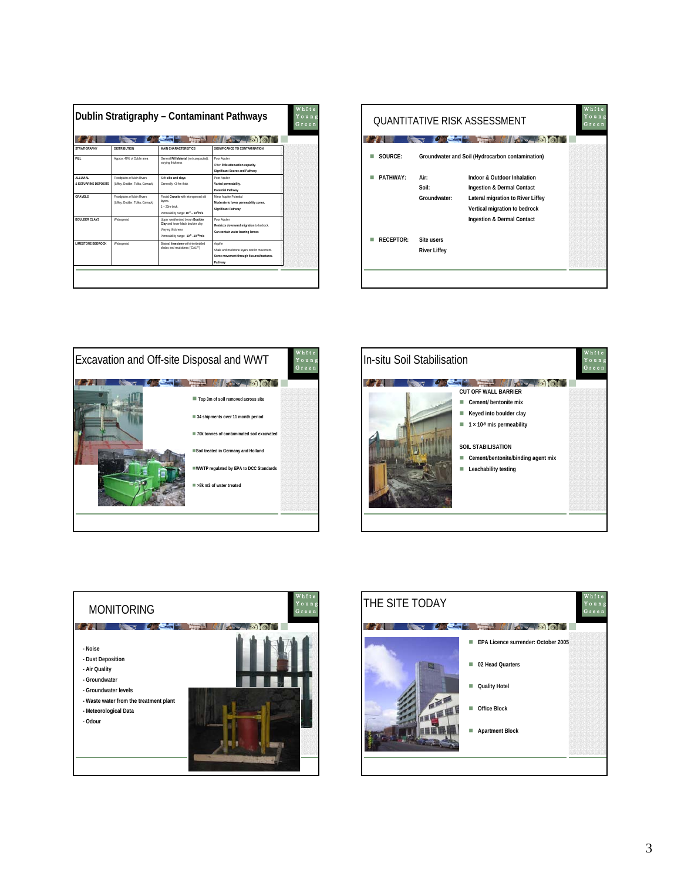| Dublin Stratigraphy - Contaminant Pathways |                                                               |                                                                                                                               |                                                                                                                 |  |
|--------------------------------------------|---------------------------------------------------------------|-------------------------------------------------------------------------------------------------------------------------------|-----------------------------------------------------------------------------------------------------------------|--|
| STRATIGRAPHY                               | <b>DISTRIBUTION</b>                                           | MAIN CHARACTERISTICS                                                                                                          | SIGNIFICANCE TO CONTAMINATION                                                                                   |  |
| FILL.                                      | Approx. 40% of Dublin area                                    | General Fill Material (not compacted).<br>varying thickness                                                                   | Poor Aguiler<br>Often little attenuation capacity.<br>Significant Source and Pathway                            |  |
| <b>IAIVILLA</b><br>& ESTUARINE DEPOSITS    | Floodplains of Main Rivers<br>(Liffey, Dodder, Tolka, Camack) | Soft silts and clavs<br>Generally <3-4m thick                                                                                 | Poor Aguiler<br>Varied permeability.<br>Potential Pathway                                                       |  |
| <b>GRAVELS</b>                             | Floodplains of Main Rivers<br>(Liffey, Dodder, Tolka, Camack) | Fluvial Gravels with interspersed silt<br>layers.<br>$1 - 20m$ think<br>Permeability range: 10-2 - 10-5m/s                    | Minor Aguiller Potential<br>Moderate to lower permeability zones.<br>Significant Pathway                        |  |
| <b>BOULDER CLAYS</b>                       | Widespread                                                    | Upper weatherized brown Boulder<br>Clay and lower black boulder clay<br>Varving thickness<br>Permeability range: 10°-10-11m/s | Poor Aguiler<br>Restricts downward migration to bedrock.<br>Can contain water bearing lenses                    |  |
| <b>I IMESTONE REDROCK</b>                  | Widespread                                                    | Rasinal limestone with interbedded<br>shales and mudstones ('CALP')                                                           | Aquifer<br>Shale and mudstone layers restrict movement.<br>Some movement through fissures/fractures.<br>Pathway |  |

|           |                                                  | <b>QUANTITATIVE RISK ASSESSMENT</b><br><b>MILLION</b>                                                                                                         | Young<br>Green |
|-----------|--------------------------------------------------|---------------------------------------------------------------------------------------------------------------------------------------------------------------|----------------|
| SOURCE:   | Groundwater and Soil (Hydrocarbon contamination) |                                                                                                                                                               |                |
| PATHWAY·  | Air:<br>Soil:<br>Groundwater:                    | Indoor & Outdoor Inhalation<br>Ingestion & Dermal Contact<br>Lateral migration to River Liffey<br>Vertical migration to bedrock<br>Ingestion & Dermal Contact |                |
| RECEPTOR: | <b>Site users</b><br><b>River Liffey</b>         |                                                                                                                                                               |                |